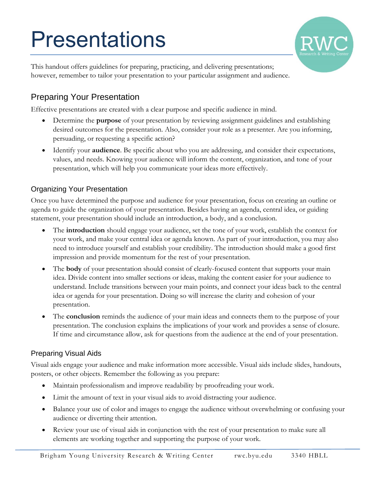# **Presentations**



This handout offers guidelines for preparing, practicing, and delivering presentations; however, remember to tailor your presentation to your particular assignment and audience.

## Preparing Your Presentation

Effective presentations are created with a clear purpose and specific audience in mind.

- Determine the **purpose** of your presentation by reviewing assignment guidelines and establishing desired outcomes for the presentation. Also, consider your role as a presenter. Are you informing, persuading, or requesting a specific action?
- Identify your **audience**. Be specific about who you are addressing, and consider their expectations, values, and needs. Knowing your audience will inform the content, organization, and tone of your presentation, which will help you communicate your ideas more effectively.

### Organizing Your Presentation

Once you have determined the purpose and audience for your presentation, focus on creating an outline or agenda to guide the organization of your presentation. Besides having an agenda, central idea, or guiding statement, your presentation should include an introduction, a body, and a conclusion.

- The **introduction** should engage your audience, set the tone of your work, establish the context for your work, and make your central idea or agenda known. As part of your introduction, you may also need to introduce yourself and establish your credibility. The introduction should make a good first impression and provide momentum for the rest of your presentation.
- The **body** of your presentation should consist of clearly-focused content that supports your main idea. Divide content into smaller sections or ideas, making the content easier for your audience to understand. Include transitions between your main points, and connect your ideas back to the central idea or agenda for your presentation. Doing so will increase the clarity and cohesion of your presentation.
- The **conclusion** reminds the audience of your main ideas and connects them to the purpose of your presentation. The conclusion explains the implications of your work and provides a sense of closure. If time and circumstance allow, ask for questions from the audience at the end of your presentation.

#### Preparing Visual Aids

Visual aids engage your audience and make information more accessible. Visual aids include slides, handouts, posters, or other objects. Remember the following as you prepare:

- Maintain professionalism and improve readability by proofreading your work.
- Limit the amount of text in your visual aids to avoid distracting your audience.
- Balance your use of color and images to engage the audience without overwhelming or confusing your audience or diverting their attention.
- Review your use of visual aids in conjunction with the rest of your presentation to make sure all elements are working together and supporting the purpose of your work.